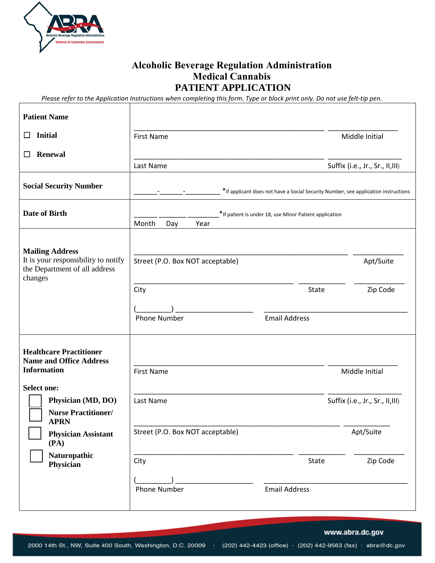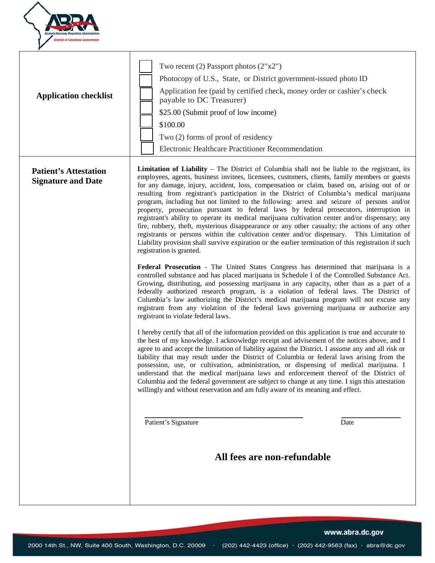

| <b>Application checklist</b>                              | Two recent (2) Passport photos $(2"x2")$<br>Photocopy of U.S., State, or District government-issued photo ID<br>Application fee (paid by certified check, money order or cashier's check<br>payable to DC Treasurer)<br>\$25.00 (Submit proof of low income)<br>\$100.00<br>Two (2) forms of proof of residency<br>Electronic Healthcare Practitioner Recommendation                                                                                                                                                                                                                                                                                                                                                                                                                                                                                                                                                                                                                                                                                                                                                                                                                                                                                                                                                                                                                                                                                                                                                                                                                                                                                                                                                                                                                                                                                                                                                                                                                                                                                                                                                                                                                                                                                                                                                                                                                                                                                                 |      |
|-----------------------------------------------------------|----------------------------------------------------------------------------------------------------------------------------------------------------------------------------------------------------------------------------------------------------------------------------------------------------------------------------------------------------------------------------------------------------------------------------------------------------------------------------------------------------------------------------------------------------------------------------------------------------------------------------------------------------------------------------------------------------------------------------------------------------------------------------------------------------------------------------------------------------------------------------------------------------------------------------------------------------------------------------------------------------------------------------------------------------------------------------------------------------------------------------------------------------------------------------------------------------------------------------------------------------------------------------------------------------------------------------------------------------------------------------------------------------------------------------------------------------------------------------------------------------------------------------------------------------------------------------------------------------------------------------------------------------------------------------------------------------------------------------------------------------------------------------------------------------------------------------------------------------------------------------------------------------------------------------------------------------------------------------------------------------------------------------------------------------------------------------------------------------------------------------------------------------------------------------------------------------------------------------------------------------------------------------------------------------------------------------------------------------------------------------------------------------------------------------------------------------------------------|------|
| <b>Patient's Attestation</b><br><b>Signature and Date</b> | <b>Limitation of Liability</b> – The District of Columbia shall not be liable to the registrant, its<br>employees, agents, business invitees, licensees, customers, clients, family members or guests<br>for any damage, injury, accident, loss, compensation or claim, based on, arising out of or<br>resulting from registrant's participation in the District of Columbia's medical cannabis<br>program, including but not limited to the following: arrest and seizure of persons and/or<br>property, prosecution pursuant to federal laws by federal prosecutors, interruption in<br>registrant's ability to operate its medical cannabis cultivation center and/or dispensary; any<br>fire, robbery, theft, mysterious disappearance or any other casualty; the actions of any other<br>registrants or persons within the cultivation center and/or dispensary. This Limitation of<br>Liability provision shall survive expiration or the earlier termination of this registration if such<br>registration is granted.<br>Federal Prosecution - The United States Congress has determined that cannabis is a<br>controlled substance and has placed cannabis in Schedule I of the Controlled Substance Act.<br>Growing, distributing, and possessing cannabis in any capacity, other than as a part of a<br>federally authorized research program, is a violation of federal laws. The District of<br>Columbia's law authorizing the District's medical cannabis program will not excuse any<br>registrant from any violation of the federal laws governing cannabis or authorize any<br>registrant to violate federal laws.<br>I hereby certify that all of the information provided on this application is true and accurate to<br>the best of my knowledge. I acknowledge receipt and advisement of the notices above, and I<br>agree to and accept the limitation of liability against the District. I assume any and all risk or<br>liability that may result under the District of Columbia or federal laws arising from the<br>possession, use, or cultivation, administration, or dispensing of medical cannabis. I<br>understand that the medical cannabis laws and enforcement thereof of the District of<br>Columbia and the federal government are subject to change at any time. I sign this attestation<br>willingly and without reservation and am fully aware of its meaning and effect.<br>Patient's Signature<br>All fees are non-refundable | Date |

www.abra.dc.gov